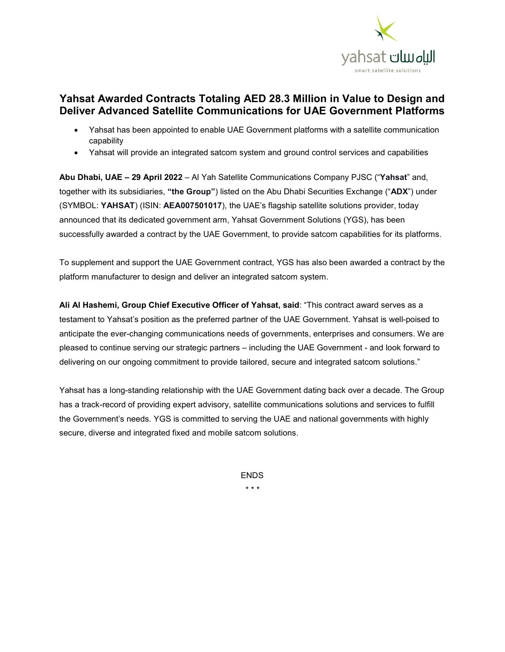

## **Yahsat Awarded Contracts Totaling AED 28.3 Million in Value to Design and Deliver Advanced Satellite Communications for UAE Government Platforms**

- Yahsat has been appointed to enable UAE Government platforms with a satellite communication capability
- Yahsat will provide an integrated satcom system and ground control services and capabilities

**Abu Dhabi, UAE – 29 April 2022** – Al Yah Satellite Communications Company PJSC ("**Yahsat**" and, together with its subsidiaries, **"the Group"**) listed on the Abu Dhabi Securities Exchange ("**ADX**") under (SYMBOL: **YAHSAT**) (ISIN: **AEA007501017**), the UAE's flagship satellite solutions provider, today announced that its dedicated government arm, Yahsat Government Solutions (YGS), has been successfully awarded a contract by the UAE Government, to provide satcom capabilities for its platforms.

To supplement and support the UAE Government contract, YGS has also been awarded a contract by the platform manufacturer to design and deliver an integrated satcom system.

**Ali Al Hashemi, Group Chief Executive Officer of Yahsat, said**: "This contract award serves as a testament to Yahsat's position as the preferred partner of the UAE Government. Yahsat is well-poised to anticipate the ever-changing communications needs of governments, enterprises and consumers. We are pleased to continue serving our strategic partners – including the UAE Government - and look forward to delivering on our ongoing commitment to provide tailored, secure and integrated satcom solutions."

Yahsat has a long-standing relationship with the UAE Government dating back over a decade. The Group has a track-record of providing expert advisory, satellite communications solutions and services to fulfill the Government's needs. YGS is committed to serving the UAE and national governments with highly secure, diverse and integrated fixed and mobile satcom solutions.

> ENDS \* \* \*